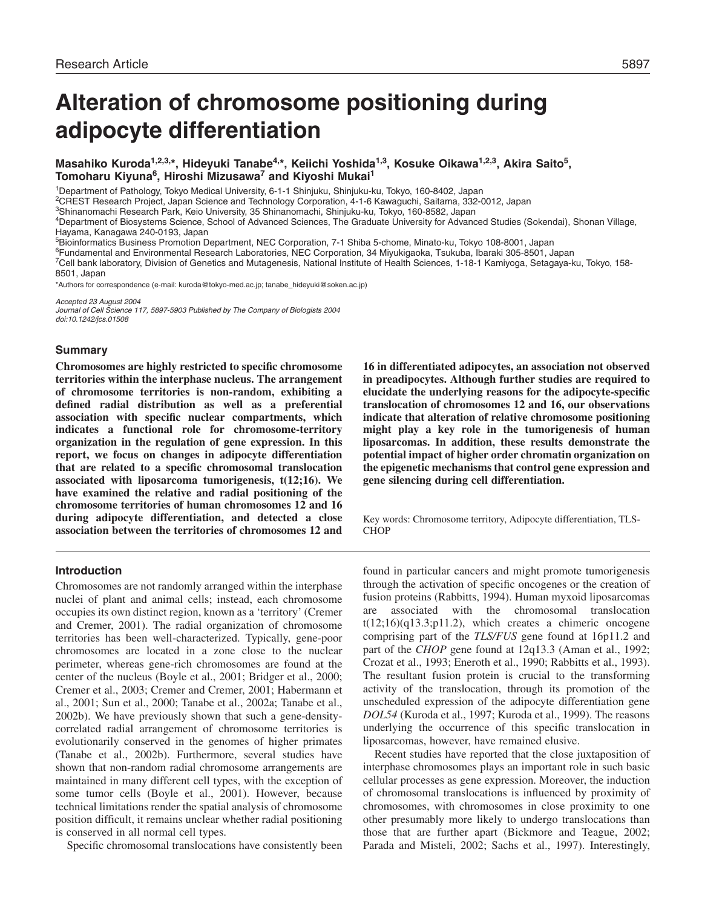# **Alteration of chromosome positioning during adipocyte differentiation**

**Masahiko Kuroda1,2,3,\*, Hideyuki Tanabe4,\*, Keiichi Yoshida1,3, Kosuke Oikawa1,2,3, Akira Saito5, Tomoharu Kiyuna6, Hiroshi Mizusawa7 and Kiyoshi Mukai<sup>1</sup>**

<sup>1</sup>Department of Pathology, Tokyo Medical University, 6-1-1 Shinjuku, Shinjuku-ku, Tokyo, 160-8402, Japan

2CREST Research Project, Japan Science and Technology Corporation, 4-1-6 Kawaguchi, Saitama, 332-0012, Japan

3Shinanomachi Research Park, Keio University, 35 Shinanomachi, Shinjuku-ku, Tokyo, 160-8582, Japan

4Department of Biosystems Science, School of Advanced Sciences, The Graduate University for Advanced Studies (Sokendai), Shonan Village, Hayama, Kanagawa 240-0193, Japan

5Bioinformatics Business Promotion Department, NEC Corporation, 7-1 Shiba 5-chome, Minato-ku, Tokyo 108-8001, Japan

<sup>6</sup>Fundamental and Environmental Research Laboratories, NEC Corporation, 34 Miyukigaoka, Tsukuba, Ibaraki 305-8501, Japan

7Cell bank laboratory, Division of Genetics and Mutagenesis, National Institute of Health Sciences, 1-18-1 Kamiyoga, Setagaya-ku, Tokyo, 158- 8501, Japan

\*Authors for correspondence (e-mail: kuroda@tokyo-med.ac.jp; tanabe\_hideyuki@soken.ac.jp)

Accepted 23 August 2004

Journal of Cell Science 117, 5897-5903 Published by The Company of Biologists 2004 doi:10.1242/jcs.01508

### **Summary**

**Chromosomes are highly restricted to specific chromosome territories within the interphase nucleus. The arrangement of chromosome territories is non-random, exhibiting a defined radial distribution as well as a preferential association with specific nuclear compartments, which indicates a functional role for chromosome-territory organization in the regulation of gene expression. In this report, we focus on changes in adipocyte differentiation that are related to a specific chromosomal translocation associated with liposarcoma tumorigenesis, t(12;16). We have examined the relative and radial positioning of the chromosome territories of human chromosomes 12 and 16 during adipocyte differentiation, and detected a close association between the territories of chromosomes 12 and**

## **Introduction**

Chromosomes are not randomly arranged within the interphase nuclei of plant and animal cells; instead, each chromosome occupies its own distinct region, known as a 'territory' (Cremer and Cremer, 2001). The radial organization of chromosome territories has been well-characterized. Typically, gene-poor chromosomes are located in a zone close to the nuclear perimeter, whereas gene-rich chromosomes are found at the center of the nucleus (Boyle et al., 2001; Bridger et al., 2000; Cremer et al., 2003; Cremer and Cremer, 2001; Habermann et al., 2001; Sun et al., 2000; Tanabe et al., 2002a; Tanabe et al., 2002b). We have previously shown that such a gene-densitycorrelated radial arrangement of chromosome territories is evolutionarily conserved in the genomes of higher primates (Tanabe et al., 2002b). Furthermore, several studies have shown that non-random radial chromosome arrangements are maintained in many different cell types, with the exception of some tumor cells (Boyle et al., 2001). However, because technical limitations render the spatial analysis of chromosome position difficult, it remains unclear whether radial positioning is conserved in all normal cell types.

Specific chromosomal translocations have consistently been

**16 in differentiated adipocytes, an association not observed in preadipocytes. Although further studies are required to elucidate the underlying reasons for the adipocyte-specific translocation of chromosomes 12 and 16, our observations indicate that alteration of relative chromosome positioning might play a key role in the tumorigenesis of human liposarcomas. In addition, these results demonstrate the potential impact of higher order chromatin organization on the epigenetic mechanisms that control gene expression and gene silencing during cell differentiation.**

Key words: Chromosome territory, Adipocyte differentiation, TLS-CHOP

found in particular cancers and might promote tumorigenesis through the activation of specific oncogenes or the creation of fusion proteins (Rabbitts, 1994). Human myxoid liposarcomas are associated with the chromosomal translocation t(12;16)(q13.3;p11.2), which creates a chimeric oncogene comprising part of the *TLS/FUS* gene found at 16p11.2 and part of the *CHOP* gene found at 12q13.3 (Aman et al., 1992; Crozat et al., 1993; Eneroth et al., 1990; Rabbitts et al., 1993). The resultant fusion protein is crucial to the transforming activity of the translocation, through its promotion of the unscheduled expression of the adipocyte differentiation gene *DOL54* (Kuroda et al., 1997; Kuroda et al., 1999). The reasons underlying the occurrence of this specific translocation in liposarcomas, however, have remained elusive.

Recent studies have reported that the close juxtaposition of interphase chromosomes plays an important role in such basic cellular processes as gene expression. Moreover, the induction of chromosomal translocations is influenced by proximity of chromosomes, with chromosomes in close proximity to one other presumably more likely to undergo translocations than those that are further apart (Bickmore and Teague, 2002; Parada and Misteli, 2002; Sachs et al., 1997). Interestingly,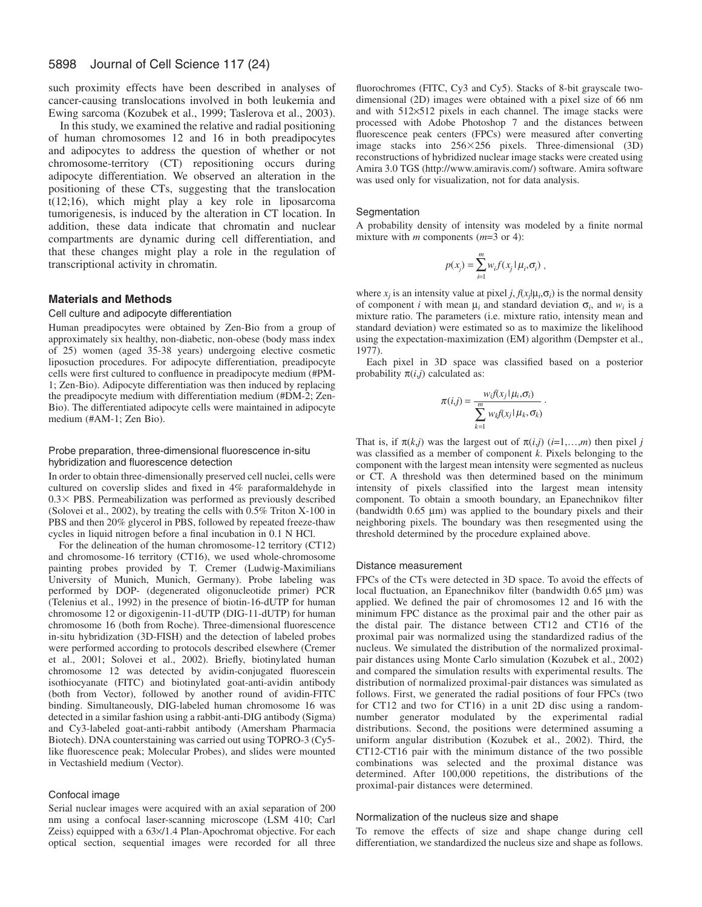such proximity effects have been described in analyses of cancer-causing translocations involved in both leukemia and Ewing sarcoma (Kozubek et al., 1999; Taslerova et al., 2003).

In this study, we examined the relative and radial positioning of human chromosomes 12 and 16 in both preadipocytes and adipocytes to address the question of whether or not chromosome-territory (CT) repositioning occurs during adipocyte differentiation. We observed an alteration in the positioning of these CTs, suggesting that the translocation t(12;16), which might play a key role in liposarcoma tumorigenesis, is induced by the alteration in CT location. In addition, these data indicate that chromatin and nuclear compartments are dynamic during cell differentiation, and that these changes might play a role in the regulation of transcriptional activity in chromatin.

### **Materials and Methods**

## Cell culture and adipocyte differentiation

Human preadipocytes were obtained by Zen-Bio from a group of approximately six healthy, non-diabetic, non-obese (body mass index of 25) women (aged 35-38 years) undergoing elective cosmetic liposuction procedures. For adipocyte differentiation, preadipocyte cells were first cultured to confluence in preadipocyte medium (#PM-1; Zen-Bio). Adipocyte differentiation was then induced by replacing the preadipocyte medium with differentiation medium (#DM-2; Zen-Bio). The differentiated adipocyte cells were maintained in adipocyte medium (#AM-1; Zen Bio).

#### Probe preparation, three-dimensional fluorescence in-situ hybridization and fluorescence detection

In order to obtain three-dimensionally preserved cell nuclei, cells were cultured on coverslip slides and fixed in 4% paraformaldehyde in  $0.3 \times$  PBS. Permeabilization was performed as previously described (Solovei et al., 2002), by treating the cells with 0.5% Triton X-100 in PBS and then 20% glycerol in PBS, followed by repeated freeze-thaw cycles in liquid nitrogen before a final incubation in 0.1 N HCl.

For the delineation of the human chromosome-12 territory (CT12) and chromosome-16 territory (CT16), we used whole-chromosome painting probes provided by T. Cremer (Ludwig-Maximilians University of Munich, Munich, Germany). Probe labeling was performed by DOP- (degenerated oligonucleotide primer) PCR (Telenius et al., 1992) in the presence of biotin-16-dUTP for human chromosome 12 or digoxigenin-11-dUTP (DIG-11-dUTP) for human chromosome 16 (both from Roche). Three-dimensional fluorescence in-situ hybridization (3D-FISH) and the detection of labeled probes were performed according to protocols described elsewhere (Cremer et al., 2001; Solovei et al., 2002). Briefly, biotinylated human chromosome 12 was detected by avidin-conjugated fluorescein isothiocyanate (FITC) and biotinylated goat-anti-avidin antibody (both from Vector), followed by another round of avidin-FITC binding. Simultaneously, DIG-labeled human chromosome 16 was detected in a similar fashion using a rabbit-anti-DIG antibody (Sigma) and Cy3-labeled goat-anti-rabbit antibody (Amersham Pharmacia Biotech). DNA counterstaining was carried out using TOPRO-3 (Cy5 like fluorescence peak; Molecular Probes), and slides were mounted in Vectashield medium (Vector).

#### Confocal image

Serial nuclear images were acquired with an axial separation of 200 nm using a confocal laser-scanning microscope (LSM 410; Carl Zeiss) equipped with a 63×/1.4 Plan-Apochromat objective. For each optical section, sequential images were recorded for all three fluorochromes (FITC, Cy3 and Cy5). Stacks of 8-bit grayscale twodimensional (2D) images were obtained with a pixel size of 66 nm and with 512×512 pixels in each channel. The image stacks were processed with Adobe Photoshop 7 and the distances between fluorescence peak centers (FPCs) were measured after converting image stacks into 256256 pixels. Three-dimensional (3D) reconstructions of hybridized nuclear image stacks were created using Amira 3.0 TGS (http://www.amiravis.com/) software. Amira software was used only for visualization, not for data analysis.

## **Segmentation**

A probability density of intensity was modeled by a finite normal mixture with *m* components (*m*=3 or 4):

$$
p(x_j) = \sum_{i=1}^m w_i f(x_j \mid \mu_i, \sigma_i),
$$

where  $x_i$  is an intensity value at pixel *j*,  $f(x_i | \mu_i, \sigma_i)$  is the normal density of component *i* with mean  $\mu_i$  and standard deviation  $\sigma_i$ , and  $w_i$  is a mixture ratio. The parameters (i.e. mixture ratio, intensity mean and standard deviation) were estimated so as to maximize the likelihood using the expectation-maximization (EM) algorithm (Dempster et al., 1977).

Each pixel in 3D space was classified based on a posterior probability  $\pi(i,j)$  calculated as:

$$
\pi(i,j) = \frac{w_i f(x_j | \mu_i, \sigma_i)}{\sum_{k=1}^m w_k f(x_j | \mu_k, \sigma_k)}.
$$

That is, if  $\pi(k,j)$  was the largest out of  $\pi(i,j)$  (*i*=1,…,*m*) then pixel *j* was classified as a member of component *k*. Pixels belonging to the component with the largest mean intensity were segmented as nucleus or CT. A threshold was then determined based on the minimum intensity of pixels classified into the largest mean intensity component. To obtain a smooth boundary, an Epanechnikov filter (bandwidth 0.65 µm) was applied to the boundary pixels and their neighboring pixels. The boundary was then resegmented using the threshold determined by the procedure explained above.

#### Distance measurement

FPCs of the CTs were detected in 3D space. To avoid the effects of local fluctuation, an Epanechnikov filter (bandwidth 0.65 µm) was applied. We defined the pair of chromosomes 12 and 16 with the minimum FPC distance as the proximal pair and the other pair as the distal pair. The distance between CT12 and CT16 of the proximal pair was normalized using the standardized radius of the nucleus. We simulated the distribution of the normalized proximalpair distances using Monte Carlo simulation (Kozubek et al., 2002) and compared the simulation results with experimental results. The distribution of normalized proximal-pair distances was simulated as follows. First, we generated the radial positions of four FPCs (two for CT12 and two for CT16) in a unit 2D disc using a randomnumber generator modulated by the experimental radial distributions. Second, the positions were determined assuming a uniform angular distribution (Kozubek et al., 2002). Third, the CT12-CT16 pair with the minimum distance of the two possible combinations was selected and the proximal distance was determined. After 100,000 repetitions, the distributions of the proximal-pair distances were determined.

#### Normalization of the nucleus size and shape

To remove the effects of size and shape change during cell differentiation, we standardized the nucleus size and shape as follows.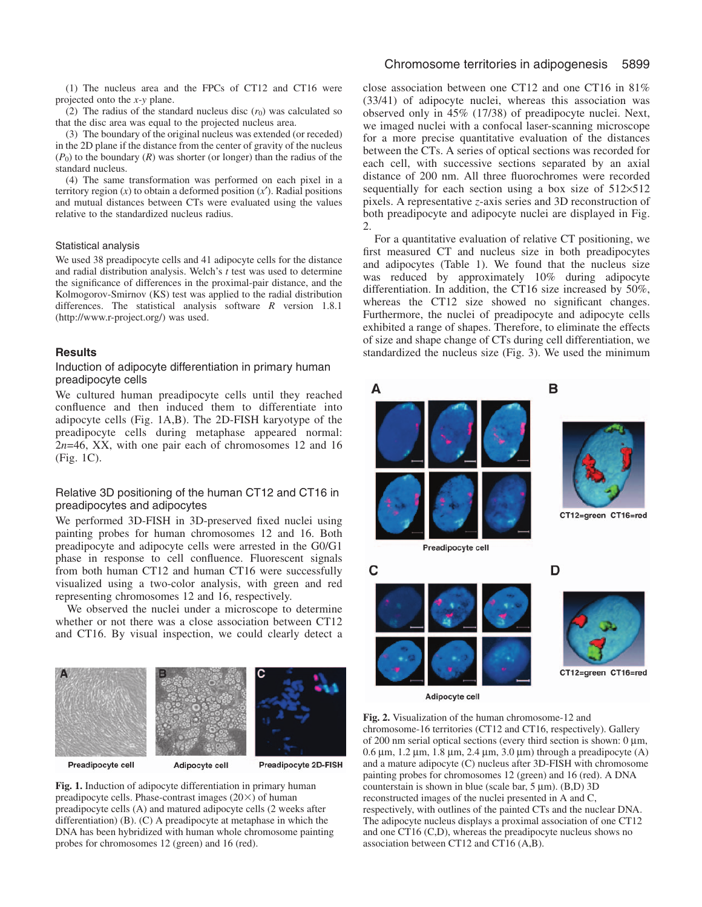(2) The radius of the standard nucleus disc  $(r_0)$  was calculated so that the disc area was equal to the projected nucleus area.

(3) The boundary of the original nucleus was extended (or receded) in the 2D plane if the distance from the center of gravity of the nucleus  $(P_0)$  to the boundary  $(R)$  was shorter (or longer) than the radius of the standard nucleus.

(4) The same transformation was performed on each pixel in a territory region  $(x)$  to obtain a deformed position  $(x')$ . Radial positions and mutual distances between CTs were evaluated using the values relative to the standardized nucleus radius.

### Statistical analysis

We used 38 preadipocyte cells and 41 adipocyte cells for the distance and radial distribution analysis. Welch's *t* test was used to determine the significance of differences in the proximal-pair distance, and the Kolmogorov-Smirnov (KS) test was applied to the radial distribution differences. The statistical analysis software *R* version 1.8.1 (http://www.r-project.org/) was used.

## **Results**

## Induction of adipocyte differentiation in primary human preadipocyte cells

We cultured human preadipocyte cells until they reached confluence and then induced them to differentiate into adipocyte cells (Fig. 1A,B). The 2D-FISH karyotype of the preadipocyte cells during metaphase appeared normal: 2*n*=46, XX, with one pair each of chromosomes 12 and 16 (Fig. 1C).

# Relative 3D positioning of the human CT12 and CT16 in preadipocytes and adipocytes

We performed 3D-FISH in 3D-preserved fixed nuclei using painting probes for human chromosomes 12 and 16. Both preadipocyte and adipocyte cells were arrested in the G0/G1 phase in response to cell confluence. Fluorescent signals from both human CT12 and human CT16 were successfully visualized using a two-color analysis, with green and red representing chromosomes 12 and 16, respectively.

We observed the nuclei under a microscope to determine whether or not there was a close association between CT12 and CT16. By visual inspection, we could clearly detect a



**Fig. 1.** Induction of adipocyte differentiation in primary human preadipocyte cells. Phase-contrast images  $(20\times)$  of human preadipocyte cells (A) and matured adipocyte cells (2 weeks after differentiation) (B). (C) A preadipocyte at metaphase in which the DNA has been hybridized with human whole chromosome painting probes for chromosomes 12 (green) and 16 (red).

## Chromosome territories in adipogenesis 5899

close association between one CT12 and one CT16 in 81% (33/41) of adipocyte nuclei, whereas this association was observed only in 45% (17/38) of preadipocyte nuclei. Next, we imaged nuclei with a confocal laser-scanning microscope for a more precise quantitative evaluation of the distances between the CTs. A series of optical sections was recorded for each cell, with successive sections separated by an axial distance of 200 nm. All three fluorochromes were recorded sequentially for each section using a box size of 512×512 pixels. A representative *z*-axis series and 3D reconstruction of both preadipocyte and adipocyte nuclei are displayed in Fig. 2.

For a quantitative evaluation of relative CT positioning, we first measured CT and nucleus size in both preadipocytes and adipocytes (Table 1). We found that the nucleus size was reduced by approximately 10% during adipocyte differentiation. In addition, the CT16 size increased by 50%, whereas the CT12 size showed no significant changes. Furthermore, the nuclei of preadipocyte and adipocyte cells exhibited a range of shapes. Therefore, to eliminate the effects of size and shape change of CTs during cell differentiation, we standardized the nucleus size (Fig. 3). We used the minimum



Adipocyte cell

**Fig. 2.** Visualization of the human chromosome-12 and chromosome-16 territories (CT12 and CT16, respectively). Gallery of 200 nm serial optical sections (every third section is shown:  $0 \mu m$ ,  $0.6 \mu$ m,  $1.2 \mu$ m,  $1.8 \mu$ m,  $2.4 \mu$ m,  $3.0 \mu$ m) through a preadipocyte (A) and a mature adipocyte (C) nucleus after 3D-FISH with chromosome painting probes for chromosomes 12 (green) and 16 (red). A DNA counterstain is shown in blue (scale bar, 5 µm). (B,D) 3D reconstructed images of the nuclei presented in A and C, respectively, with outlines of the painted CTs and the nuclear DNA. The adipocyte nucleus displays a proximal association of one CT12 and one CT16 (C,D), whereas the preadipocyte nucleus shows no association between CT12 and CT16 (A,B).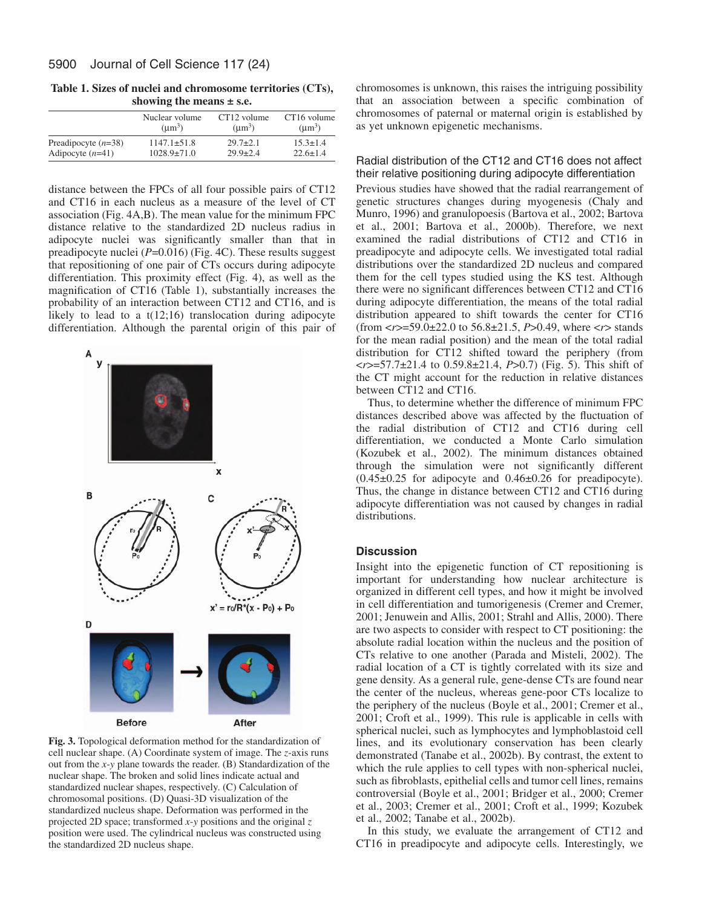**Table 1. Sizes of nuclei and chromosome territories (CTs), showing the means ± s.e.**

| $1147.1 \pm 51.8$ | $29.7 \pm 2.1$    | $15.3 \pm 1.4$<br>$22.6 \pm 1.4$ |
|-------------------|-------------------|----------------------------------|
|                   | $1028.9 \pm 71.0$ | $29.9 \pm 2.4$                   |

distance between the FPCs of all four possible pairs of CT12 and CT16 in each nucleus as a measure of the level of CT association (Fig. 4A,B). The mean value for the minimum FPC distance relative to the standardized 2D nucleus radius in adipocyte nuclei was significantly smaller than that in preadipocyte nuclei (*P*=0.016) (Fig. 4C). These results suggest that repositioning of one pair of CTs occurs during adipocyte differentiation. This proximity effect (Fig. 4), as well as the magnification of CT16 (Table 1), substantially increases the probability of an interaction between CT12 and CT16, and is likely to lead to a t(12;16) translocation during adipocyte differentiation. Although the parental origin of this pair of



**Fig. 3.** Topological deformation method for the standardization of cell nuclear shape. (A) Coordinate system of image. The *z*-axis runs out from the *x*-*y* plane towards the reader. (B) Standardization of the nuclear shape. The broken and solid lines indicate actual and standardized nuclear shapes, respectively. (C) Calculation of chromosomal positions. (D) Quasi-3D visualization of the standardized nucleus shape. Deformation was performed in the projected 2D space; transformed *x*-*y* positions and the original *z* position were used. The cylindrical nucleus was constructed using the standardized 2D nucleus shape.

chromosomes is unknown, this raises the intriguing possibility that an association between a specific combination of chromosomes of paternal or maternal origin is established by as yet unknown epigenetic mechanisms.

# Radial distribution of the CT12 and CT16 does not affect their relative positioning during adipocyte differentiation

Previous studies have showed that the radial rearrangement of genetic structures changes during myogenesis (Chaly and Munro, 1996) and granulopoesis (Bartova et al., 2002; Bartova et al., 2001; Bartova et al., 2000b). Therefore, we next examined the radial distributions of CT12 and CT16 in preadipocyte and adipocyte cells. We investigated total radial distributions over the standardized 2D nucleus and compared them for the cell types studied using the KS test. Although there were no significant differences between CT12 and CT16 during adipocyte differentiation, the means of the total radial distribution appeared to shift towards the center for CT16 (from <*r*>=59.0±22.0 to 56.8±21.5, *P*>0.49, where <*r*> stands for the mean radial position) and the mean of the total radial distribution for CT12 shifted toward the periphery (from <*r*>=57.7±21.4 to 0.59.8±21.4, *P*>0.7) (Fig. 5). This shift of the CT might account for the reduction in relative distances between CT12 and CT16.

Thus, to determine whether the difference of minimum FPC distances described above was affected by the fluctuation of the radial distribution of CT12 and CT16 during cell differentiation, we conducted a Monte Carlo simulation (Kozubek et al., 2002). The minimum distances obtained through the simulation were not significantly different  $(0.45\pm0.25)$  for adipocyte and  $0.46\pm0.26$  for preadipocyte). Thus, the change in distance between CT12 and CT16 during adipocyte differentiation was not caused by changes in radial distributions.

## **Discussion**

Insight into the epigenetic function of CT repositioning is important for understanding how nuclear architecture is organized in different cell types, and how it might be involved in cell differentiation and tumorigenesis (Cremer and Cremer, 2001; Jenuwein and Allis, 2001; Strahl and Allis, 2000). There are two aspects to consider with respect to CT positioning: the absolute radial location within the nucleus and the position of CTs relative to one another (Parada and Misteli, 2002). The radial location of a CT is tightly correlated with its size and gene density. As a general rule, gene-dense CTs are found near the center of the nucleus, whereas gene-poor CTs localize to the periphery of the nucleus (Boyle et al., 2001; Cremer et al., 2001; Croft et al., 1999). This rule is applicable in cells with spherical nuclei, such as lymphocytes and lymphoblastoid cell lines, and its evolutionary conservation has been clearly demonstrated (Tanabe et al., 2002b). By contrast, the extent to which the rule applies to cell types with non-spherical nuclei, such as fibroblasts, epithelial cells and tumor cell lines, remains controversial (Boyle et al., 2001; Bridger et al., 2000; Cremer et al., 2003; Cremer et al., 2001; Croft et al., 1999; Kozubek et al., 2002; Tanabe et al., 2002b).

In this study, we evaluate the arrangement of CT12 and CT16 in preadipocyte and adipocyte cells. Interestingly, we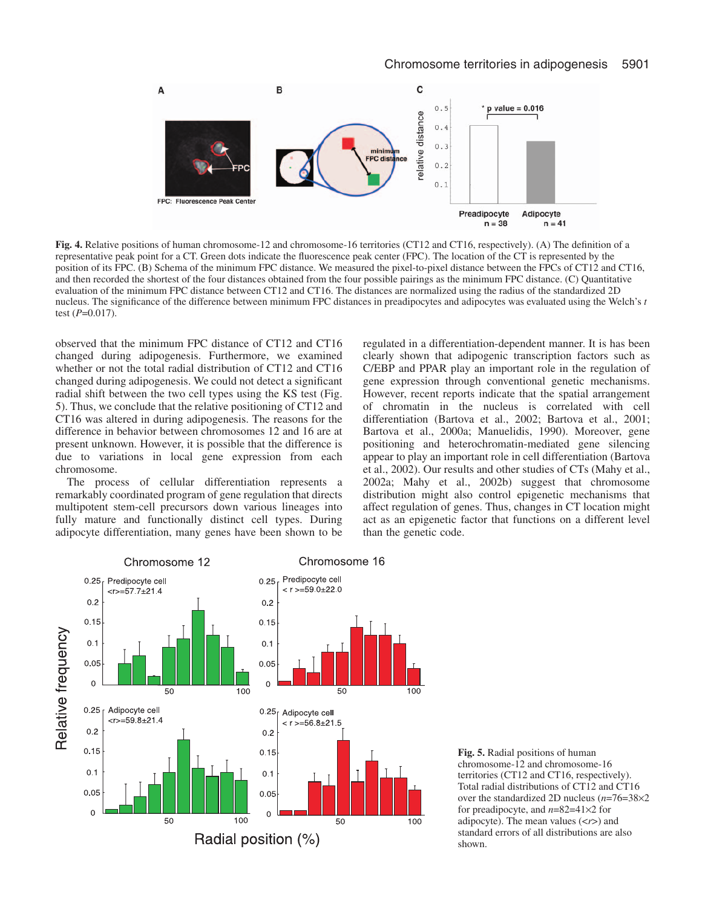

**Fig. 4.** Relative positions of human chromosome-12 and chromosome-16 territories (CT12 and CT16, respectively). (A) The definition of a representative peak point for a CT. Green dots indicate the fluorescence peak center (FPC). The location of the CT is represented by the position of its FPC. (B) Schema of the minimum FPC distance. We measured the pixel-to-pixel distance between the FPCs of CT12 and CT16, and then recorded the shortest of the four distances obtained from the four possible pairings as the minimum FPC distance. (C) Quantitative evaluation of the minimum FPC distance between CT12 and CT16. The distances are normalized using the radius of the standardized 2D nucleus. The significance of the difference between minimum FPC distances in preadipocytes and adipocytes was evaluated using the Welch's *t* test (*P*=0.017).

observed that the minimum FPC distance of CT12 and CT16 changed during adipogenesis. Furthermore, we examined whether or not the total radial distribution of CT12 and CT16 changed during adipogenesis. We could not detect a significant radial shift between the two cell types using the KS test (Fig. 5). Thus, we conclude that the relative positioning of CT12 and CT16 was altered in during adipogenesis. The reasons for the difference in behavior between chromosomes 12 and 16 are at present unknown. However, it is possible that the difference is due to variations in local gene expression from each chromosome.

The process of cellular differentiation represents a remarkably coordinated program of gene regulation that directs multipotent stem-cell precursors down various lineages into fully mature and functionally distinct cell types. During adipocyte differentiation, many genes have been shown to be regulated in a differentiation-dependent manner. It is has been clearly shown that adipogenic transcription factors such as C/EBP and PPAR play an important role in the regulation of gene expression through conventional genetic mechanisms. However, recent reports indicate that the spatial arrangement of chromatin in the nucleus is correlated with cell differentiation (Bartova et al., 2002; Bartova et al., 2001; Bartova et al., 2000a; Manuelidis, 1990). Moreover, gene positioning and heterochromatin-mediated gene silencing appear to play an important role in cell differentiation (Bartova et al., 2002). Our results and other studies of CTs (Mahy et al., 2002a; Mahy et al., 2002b) suggest that chromosome distribution might also control epigenetic mechanisms that affect regulation of genes. Thus, changes in CT location might act as an epigenetic factor that functions on a different level than the genetic code.



**Fig. 5.** Radial positions of human chromosome-12 and chromosome-16 territories (CT12 and CT16, respectively). Total radial distributions of CT12 and CT16 over the standardized 2D nucleus (*n*=76=38×2 for preadipocyte, and *n*=82=41×2 for adipocyte). The mean values (<*r*>) and standard errors of all distributions are also shown.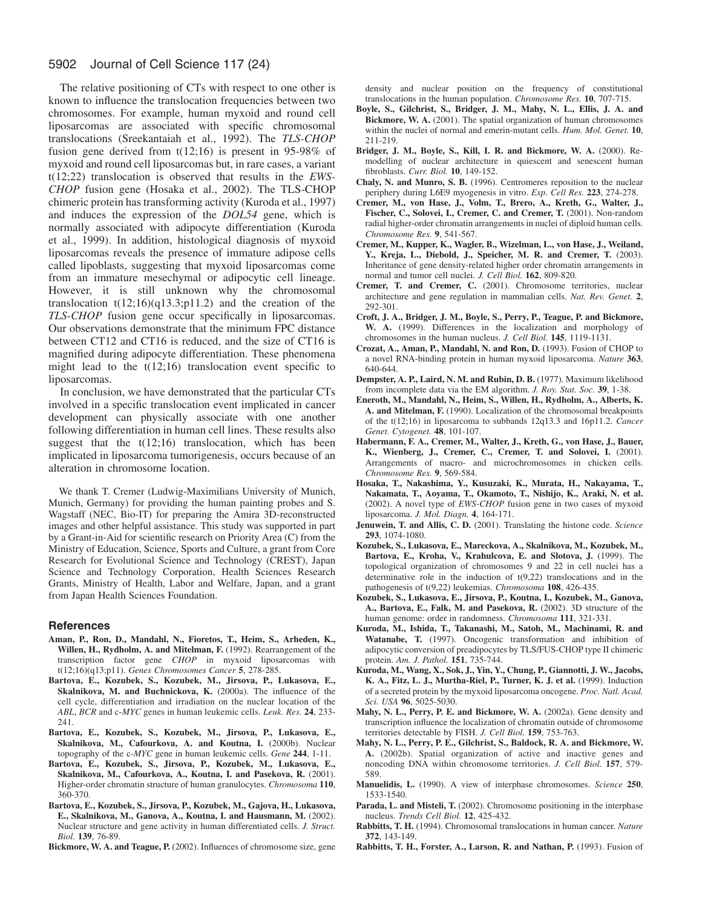# 5902 Journal of Cell Science 117 (24)

The relative positioning of CTs with respect to one other is known to influence the translocation frequencies between two chromosomes. For example, human myxoid and round cell liposarcomas are associated with specific chromosomal translocations (Sreekantaiah et al., 1992). The *TLS-CHOP* fusion gene derived from t(12;16) is present in 95-98% of myxoid and round cell liposarcomas but, in rare cases, a variant t(12;22) translocation is observed that results in the *EWS-CHOP* fusion gene (Hosaka et al., 2002). The TLS-CHOP chimeric protein has transforming activity (Kuroda et al., 1997) and induces the expression of the *DOL54* gene, which is normally associated with adipocyte differentiation (Kuroda et al., 1999). In addition, histological diagnosis of myxoid liposarcomas reveals the presence of immature adipose cells called lipoblasts, suggesting that myxoid liposarcomas come from an immature mesechymal or adipocytic cell lineage. However, it is still unknown why the chromosomal translocation  $t(12;16)(q13.3;p11.2)$  and the creation of the *TLS-CHOP* fusion gene occur specifically in liposarcomas. Our observations demonstrate that the minimum FPC distance between CT12 and CT16 is reduced, and the size of CT16 is magnified during adipocyte differentiation. These phenomena might lead to the  $t(12;16)$  translocation event specific to liposarcomas.

In conclusion, we have demonstrated that the particular CTs involved in a specific translocation event implicated in cancer development can physically associate with one another following differentiation in human cell lines. These results also suggest that the  $t(12;16)$  translocation, which has been implicated in liposarcoma tumorigenesis, occurs because of an alteration in chromosome location.

We thank T. Cremer (Ludwig-Maximilians University of Munich, Munich, Germany) for providing the human painting probes and S. Wagstaff (NEC, Bio-IT) for preparing the Amira 3D-reconstructed images and other helpful assistance. This study was supported in part by a Grant-in-Aid for scientific research on Priority Area (C) from the Ministry of Education, Science, Sports and Culture, a grant from Core Research for Evolutional Science and Technology (CREST), Japan Science and Technology Corporation, Health Sciences Research Grants, Ministry of Health, Labor and Welfare, Japan, and a grant from Japan Health Sciences Foundation.

#### **References**

- **Aman, P., Ron, D., Mandahl, N., Fioretos, T., Heim, S., Arheden, K., Willen, H., Rydholm, A. and Mitelman, F.** (1992). Rearrangement of the transcription factor gene *CHOP* in myxoid liposarcomas with t(12;16)(q13;p11). *Genes Chromosomes Cancer* **5**, 278-285.
- **Bartova, E., Kozubek, S., Kozubek, M., Jirsova, P., Lukasova, E., Skalnikova, M. and Buchnickova, K.** (2000a). The influence of the cell cycle, differentiation and irradiation on the nuclear location of the *ABL*, *BCR* and c-*MYC* genes in human leukemic cells. *Leuk. Res.* **24**, 233- 241.
- **Bartova, E., Kozubek, S., Kozubek, M., Jirsova, P., Lukasova, E., Skalnikova, M., Cafourkova, A. and Koutna, I.** (2000b). Nuclear topography of the c-*MYC* gene in human leukemic cells. *Gene* **244**, 1-11.
- **Bartova, E., Kozubek, S., Jirsova, P., Kozubek, M., Lukasova, E., Skalnikova, M., Cafourkova, A., Koutna, I. and Pasekova, R.** (2001). Higher-order chromatin structure of human granulocytes. *Chromosoma* **110**, 360-370.
- **Bartova, E., Kozubek, S., Jirsova, P., Kozubek, M., Gajova, H., Lukasova, E., Skalnikova, M., Ganova, A., Koutna, I. and Hausmann, M.** (2002). Nuclear structure and gene activity in human differentiated cells. *J. Struct. Biol.* **139**, 76-89.

**Bickmore, W. A. and Teague, P.** (2002). Influences of chromosome size, gene

density and nuclear position on the frequency of constitutional translocations in the human population. *Chromosome Res.* **10**, 707-715.

- **Boyle, S., Gilchrist, S., Bridger, J. M., Mahy, N. L., Ellis, J. A. and Bickmore, W. A.** (2001). The spatial organization of human chromosomes within the nuclei of normal and emerin-mutant cells. *Hum. Mol. Genet.* **10**, 211-219.
- **Bridger, J. M., Boyle, S., Kill, I. R. and Bickmore, W. A.** (2000). Remodelling of nuclear architecture in quiescent and senescent human fibroblasts. *Curr. Biol.* **10**, 149-152.
- **Chaly, N. and Munro, S. B.** (1996). Centromeres reposition to the nuclear periphery during L6E9 myogenesis in vitro. *Exp. Cell Res.* **223**, 274-278.
- **Cremer, M., von Hase, J., Volm, T., Brero, A., Kreth, G., Walter, J., Fischer, C., Solovei, I., Cremer, C. and Cremer, T.** (2001). Non-random radial higher-order chromatin arrangements in nuclei of diploid human cells. *Chromosome Res.* **9**, 541-567.
- **Cremer, M., Kupper, K., Wagler, B., Wizelman, L., von Hase, J., Weiland, Y., Kreja, L., Diebold, J., Speicher, M. R. and Cremer, T.** (2003). Inheritance of gene density-related higher order chromatin arrangements in normal and tumor cell nuclei. *J. Cell Biol.* **162**, 809-820.
- **Cremer, T. and Cremer, C.** (2001). Chromosome territories, nuclear architecture and gene regulation in mammalian cells. *Nat. Rev. Genet.* **2**, 292-301.
- **Croft, J. A., Bridger, J. M., Boyle, S., Perry, P., Teague, P. and Bickmore, W. A.** (1999). Differences in the localization and morphology of chromosomes in the human nucleus. *J. Cell Biol.* **145**, 1119-1131.
- **Crozat, A., Aman, P., Mandahl, N. and Ron, D.** (1993). Fusion of CHOP to a novel RNA-binding protein in human myxoid liposarcoma. *Nature* **363**, 640-644.
- **Dempster, A. P., Laird, N. M. and Rubin, D. B.** (1977). Maximum likelihood from incomplete data via the EM algorithm. *J. Roy. Stat. Soc.* **39**, 1-38.
- **Eneroth, M., Mandahl, N., Heim, S., Willen, H., Rydholm, A., Alberts, K. A. and Mitelman, F.** (1990). Localization of the chromosomal breakpoints of the t(12;16) in liposarcoma to subbands 12q13.3 and 16p11.2. *Cancer Genet. Cytogenet.* **48**, 101-107.
- **Habermann, F. A., Cremer, M., Walter, J., Kreth, G., von Hase, J., Bauer, K., Wienberg, J., Cremer, C., Cremer, T. and Solovei, I.** (2001). Arrangements of macro- and microchromosomes in chicken cells. *Chromosome Res.* **9**, 569-584.
- **Hosaka, T., Nakashima, Y., Kusuzaki, K., Murata, H., Nakayama, T., Nakamata, T., Aoyama, T., Okamoto, T., Nishijo, K., Araki, N. et al.** (2002). A novel type of *EWS-CHOP* fusion gene in two cases of myxoid liposarcoma. *J. Mol. Diagn.* **4**, 164-171.
- **Jenuwein, T. and Allis, C. D.** (2001). Translating the histone code. *Science* **293**, 1074-1080.
- **Kozubek, S., Lukasova, E., Mareckova, A., Skalnikova, M., Kozubek, M., Bartova, E., Kroha, V., Krahulcova, E. and Slotova, J.** (1999). The topological organization of chromosomes 9 and 22 in cell nuclei has a determinative role in the induction of  $t(9,22)$  translocations and in the pathogenesis of t(9,22) leukemias. *Chromosoma* **108**, 426-435.
- **Kozubek, S., Lukasova, E., Jirsova, P., Koutna, I., Kozubek, M., Ganova, A., Bartova, E., Falk, M. and Pasekova, R.** (2002). 3D structure of the human genome: order in randomness. *Chromosoma* **111**, 321-331.
- **Kuroda, M., Ishida, T., Takanashi, M., Satoh, M., Machinami, R. and Watanabe, T.** (1997). Oncogenic transformation and inhibition of adipocytic conversion of preadipocytes by TLS/FUS-CHOP type II chimeric protein. *Am. J. Pathol.* **151**, 735-744.
- **Kuroda, M., Wang, X., Sok, J., Yin, Y., Chung, P., Giannotti, J. W., Jacobs, K. A., Fitz, L. J., Murtha-Riel, P., Turner, K. J. et al.** (1999). Induction of a secreted protein by the myxoid liposarcoma oncogene. *Proc. Natl. Acad. Sci. USA* **96**, 5025-5030.
- **Mahy, N. L., Perry, P. E. and Bickmore, W. A.** (2002a). Gene density and transcription influence the localization of chromatin outside of chromosome territories detectable by FISH. *J. Cell Biol.* **159**, 753-763.
- **Mahy, N. L., Perry, P. E., Gilchrist, S., Baldock, R. A. and Bickmore, W. A.** (2002b). Spatial organization of active and inactive genes and noncoding DNA within chromosome territories. *J. Cell Biol.* **157**, 579- 589.
- **Manuelidis, L.** (1990). A view of interphase chromosomes. *Science* **250**, 1533-1540.
- Parada, L. and Misteli, T. (2002). Chromosome positioning in the interphase nucleus. *Trends Cell Biol.* **12**, 425-432.
- **Rabbitts, T. H.** (1994). Chromosomal translocations in human cancer. *Nature* **372**, 143-149.
- **Rabbitts, T. H., Forster, A., Larson, R. and Nathan, P.** (1993). Fusion of